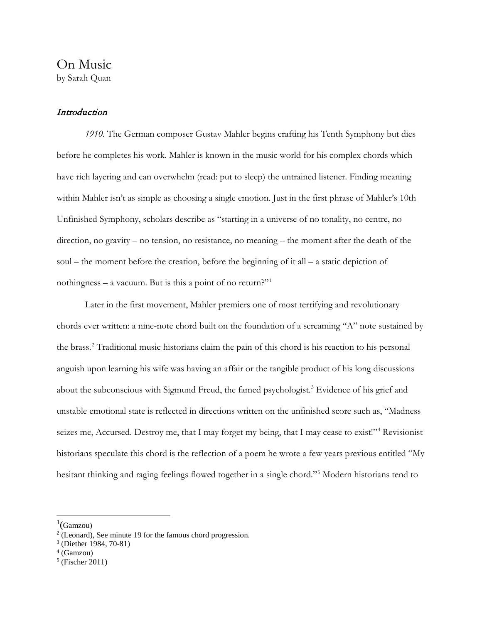# **Introduction**

*1910.* The German composer Gustav Mahler begins crafting his Tenth Symphony but dies before he completes his work. Mahler is known in the music world for his complex chords which have rich layering and can overwhelm (read: put to sleep) the untrained listener. Finding meaning within Mahler isn't as simple as choosing a single emotion. Just in the first phrase of Mahler's 10th Unfinished Symphony, scholars describe as "starting in a universe of no tonality, no centre, no direction, no gravity – no tension, no resistance, no meaning – the moment after the death of the soul – the moment before the creation, before the beginning of it all – a static depiction of nothingness – a vacuum. But is this a point of no return?"[1](#page-0-0)

Later in the first movement, Mahler premiers one of most terrifying and revolutionary chords ever written: a nine-note chord built on the foundation of a screaming "A" note sustained by the brass.[2](#page-0-1) Traditional music historians claim the pain of this chord is his reaction to his personal anguish upon learning his wife was having an affair or the tangible product of his long discussions about the subconscious with Sigmund Freud, the famed psychologist.<sup>[3](#page-0-2)</sup> Evidence of his grief and unstable emotional state is reflected in directions written on the unfinished score such as, "Madness seizes me, Accursed. Destroy me, that I may forget my being, that I may cease to exist!"<sup>[4](#page-0-3)</sup> Revisionist historians speculate this chord is the reflection of a poem he wrote a few years previous entitled "My hesitant thinking and raging feelings flowed together in a single chord."[5](#page-0-4) Modern historians tend to

<span id="page-0-3"></span> $4$  (Gamzou)

<sup>|&</sup>lt;br>|<br>|  ${}^{1}$ (Gamzou)

<span id="page-0-1"></span><span id="page-0-0"></span><sup>2</sup> (Leonard), See minute 19 for the famous chord progression.

<span id="page-0-2"></span><sup>3</sup> (Diether 1984, 70-81)

<span id="page-0-4"></span> $5$  (Fischer 2011)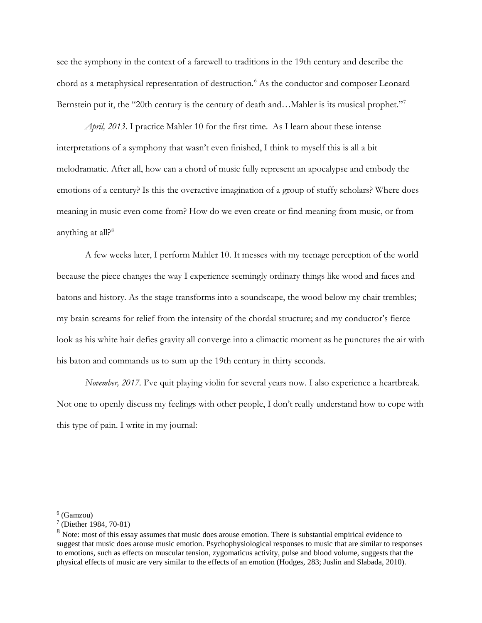see the symphony in the context of a farewell to traditions in the 19th century and describe the chord as a metaphysical representation of destruction.<sup>[6](#page-1-0)</sup> As the conductor and composer Leonard Bernstein put it, the "20th century is the century of death and...Mahler is its musical prophet."<sup>[7](#page-1-1)</sup>

*April, 2013*. I practice Mahler 10 for the first time. As I learn about these intense interpretations of a symphony that wasn't even finished, I think to myself this is all a bit melodramatic. After all, how can a chord of music fully represent an apocalypse and embody the emotions of a century? Is this the overactive imagination of a group of stuffy scholars? Where does meaning in music even come from? How do we even create or find meaning from music, or from anything at all? $8$ 

A few weeks later, I perform Mahler 10. It messes with my teenage perception of the world because the piece changes the way I experience seemingly ordinary things like wood and faces and batons and history. As the stage transforms into a soundscape, the wood below my chair trembles; my brain screams for relief from the intensity of the chordal structure; and my conductor's fierce look as his white hair defies gravity all converge into a climactic moment as he punctures the air with his baton and commands us to sum up the 19th century in thirty seconds.

*November, 2017*. I've quit playing violin for several years now. I also experience a heartbreak. Not one to openly discuss my feelings with other people, I don't really understand how to cope with this type of pain. I write in my journal:

<span id="page-1-1"></span><span id="page-1-0"></span> <sup>6</sup> (Gamzou)

 $7$  (Diether 1984, 70-81)

<span id="page-1-2"></span><sup>&</sup>lt;sup>8</sup> Note: most of this essay assumes that music does arouse emotion. There is substantial empirical evidence to suggest that music does arouse music emotion. Psychophysiological responses to music that are similar to responses to emotions, such as effects on muscular tension, zygomaticus activity, pulse and blood volume, suggests that the physical effects of music are very similar to the effects of an emotion (Hodges, 283; Juslin and Slabada, 2010).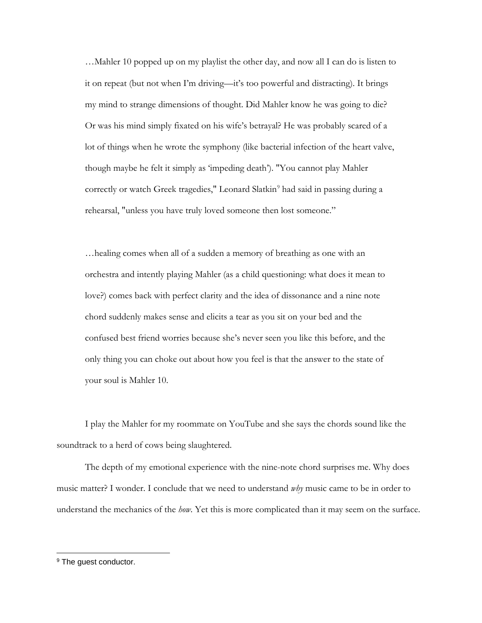…Mahler 10 popped up on my playlist the other day, and now all I can do is listen to it on repeat (but not when I'm driving—it's too powerful and distracting). It brings my mind to strange dimensions of thought. Did Mahler know he was going to die? Or was his mind simply fixated on his wife's betrayal? He was probably scared of a lot of things when he wrote the symphony (like bacterial infection of the heart valve, though maybe he felt it simply as 'impeding death'). "You cannot play Mahler correctly or watch Greek tragedies," Leonard Slatkin<sup>[9](#page-2-0)</sup> had said in passing during a rehearsal, "unless you have truly loved someone then lost someone."

…healing comes when all of a sudden a memory of breathing as one with an orchestra and intently playing Mahler (as a child questioning: what does it mean to love?) comes back with perfect clarity and the idea of dissonance and a nine note chord suddenly makes sense and elicits a tear as you sit on your bed and the confused best friend worries because she's never seen you like this before, and the only thing you can choke out about how you feel is that the answer to the state of your soul is Mahler 10.

I play the Mahler for my roommate on YouTube and she says the chords sound like the soundtrack to a herd of cows being slaughtered.

The depth of my emotional experience with the nine-note chord surprises me. Why does music matter? I wonder. I conclude that we need to understand *why* music came to be in order to understand the mechanics of the *how*. Yet this is more complicated than it may seem on the surface.

<span id="page-2-0"></span><sup>&</sup>lt;sup>9</sup> The guest conductor.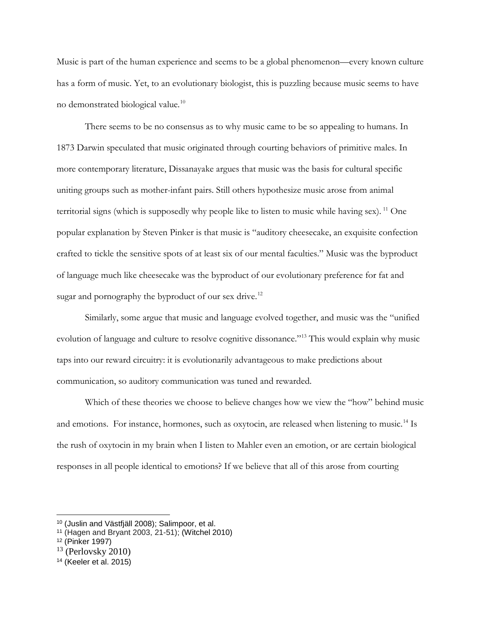Music is part of the human experience and seems to be a global phenomenon—every known culture has a form of music. Yet, to an evolutionary biologist, this is puzzling because music seems to have no demonstrated biological value.[10](#page-3-0)

There seems to be no consensus as to why music came to be so appealing to humans. In 1873 Darwin speculated that music originated through courting behaviors of primitive males. In more contemporary literature, Dissanayake argues that music was the basis for cultural specific uniting groups such as mother-infant pairs. Still others hypothesize music arose from animal territorial signs (which is supposedly why people like to listen to music while having sex). [11](#page-3-1) One popular explanation by Steven Pinker is that music is "auditory cheesecake, an exquisite confection crafted to tickle the sensitive spots of at least six of our mental faculties." Music was the byproduct of language much like cheesecake was the byproduct of our evolutionary preference for fat and sugar and pornography the byproduct of our sex drive.<sup>[12](#page-3-2)</sup>

Similarly, some argue that music and language evolved together, and music was the "unified evolution of language and culture to resolve cognitive dissonance."<sup>[13](#page-3-3)</sup> This would explain why music taps into our reward circuitry: it is evolutionarily advantageous to make predictions about communication, so auditory communication was tuned and rewarded.

Which of these theories we choose to believe changes how we view the "how" behind music and emotions. For instance, hormones, such as oxytocin, are released when listening to music.<sup>[14](#page-3-4)</sup> Is the rush of oxytocin in my brain when I listen to Mahler even an emotion, or are certain biological responses in all people identical to emotions? If we believe that all of this arose from courting

<span id="page-3-0"></span><sup>10</sup> (Juslin and Västfjäll 2008); Salimpoor, et al.

<span id="page-3-1"></span><sup>11</sup> (Hagen and Bryant 2003, 21-51); (Witchel 2010)

<span id="page-3-2"></span><sup>12</sup> (Pinker 1997)

<span id="page-3-3"></span> $13$  (Perlovsky 2010)

<span id="page-3-4"></span><sup>14</sup> (Keeler et al. 2015)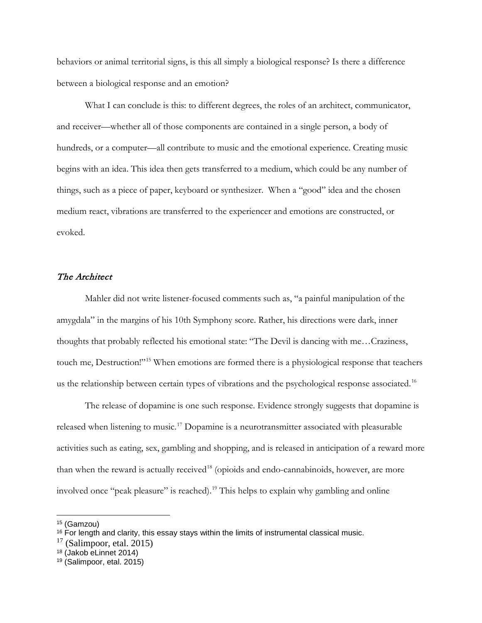behaviors or animal territorial signs, is this all simply a biological response? Is there a difference between a biological response and an emotion?

What I can conclude is this: to different degrees, the roles of an architect, communicator, and receiver—whether all of those components are contained in a single person, a body of hundreds, or a computer—all contribute to music and the emotional experience. Creating music begins with an idea. This idea then gets transferred to a medium, which could be any number of things, such as a piece of paper, keyboard or synthesizer. When a "good" idea and the chosen medium react, vibrations are transferred to the experiencer and emotions are constructed, or evoked.

# The Architect

Mahler did not write listener-focused comments such as, "a painful manipulation of the amygdala" in the margins of his 10th Symphony score. Rather, his directions were dark, inner thoughts that probably reflected his emotional state: "The Devil is dancing with me…Craziness, touch me, Destruction!"[15](#page-4-0) When emotions are formed there is a physiological response that teachers us the relationship between certain types of vibrations and the psychological response associated.<sup>[16](#page-4-1)</sup>

The release of dopamine is one such response. Evidence strongly suggests that dopamine is released when listening to music.[17](#page-4-2) Dopamine is a neurotransmitter associated with pleasurable activities such as eating, sex, gambling and shopping, and is released in anticipation of a reward more than when the reward is actually received<sup>[18](#page-4-3)</sup> (opioids and endo-cannabinoids, however, are more involved once "peak pleasure" is reached).[19](#page-4-4) This helps to explain why gambling and online

<span id="page-4-0"></span><sup>15</sup> (Gamzou)

<span id="page-4-1"></span> $16$  For length and clarity, this essay stays within the limits of instrumental classical music.

<span id="page-4-2"></span> $17$  (Salimpoor, etal. 2015)

<span id="page-4-3"></span><sup>18</sup> (Jakob eLinnet 2014)

<span id="page-4-4"></span><sup>19</sup> (Salimpoor, etal. 2015)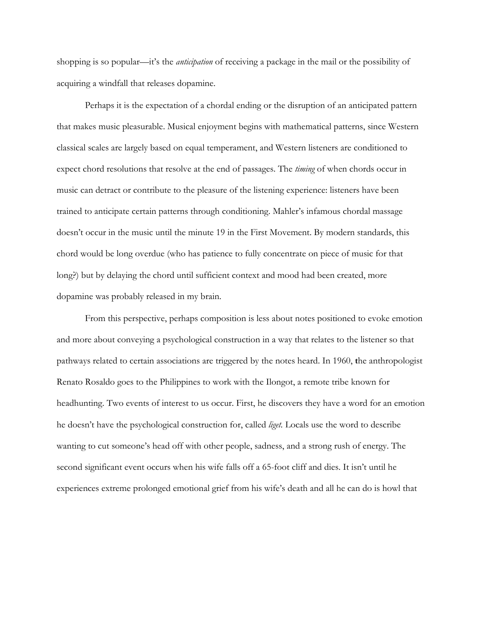shopping is so popular—it's the *anticipation* of receiving a package in the mail or the possibility of acquiring a windfall that releases dopamine.

Perhaps it is the expectation of a chordal ending or the disruption of an anticipated pattern that makes music pleasurable. Musical enjoyment begins with mathematical patterns, since Western classical scales are largely based on equal temperament, and Western listeners are conditioned to expect chord resolutions that resolve at the end of passages. The *timing* of when chords occur in music can detract or contribute to the pleasure of the listening experience: listeners have been trained to anticipate certain patterns through conditioning. Mahler's infamous chordal massage doesn't occur in the music until the minute 19 in the First Movement. By modern standards, this chord would be long overdue (who has patience to fully concentrate on piece of music for that long?) but by delaying the chord until sufficient context and mood had been created, more dopamine was probably released in my brain.

From this perspective, perhaps composition is less about notes positioned to evoke emotion and more about conveying a psychological construction in a way that relates to the listener so that pathways related to certain associations are triggered by the notes heard. In 1960, **t**he anthropologist Renato Rosaldo goes to the Philippines to work with the Ilongot, a remote tribe known for headhunting. Two events of interest to us occur. First, he discovers they have a word for an emotion he doesn't have the psychological construction for, called *liget.* Locals use the word to describe wanting to cut someone's head off with other people, sadness, and a strong rush of energy. The second significant event occurs when his wife falls off a 65-foot cliff and dies. It isn't until he experiences extreme prolonged emotional grief from his wife's death and all he can do is howl that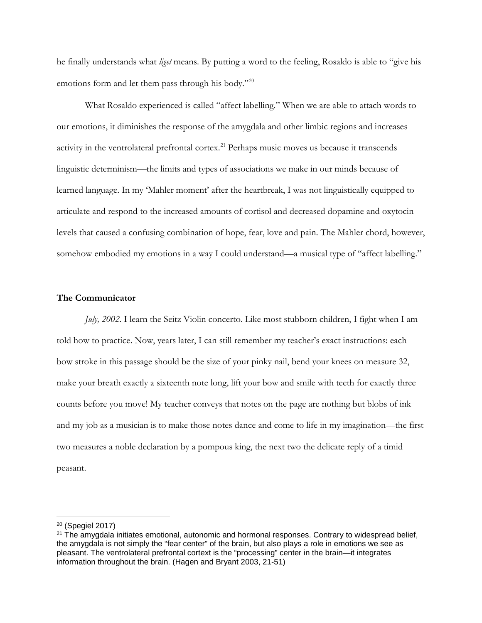he finally understands what *liget* means. By putting a word to the feeling, Rosaldo is able to "give his emotions form and let them pass through his body."<sup>[20](#page-6-0)</sup>

What Rosaldo experienced is called "affect labelling." When we are able to attach words to our emotions, it diminishes the response of the amygdala and other limbic regions and increases activity in the ventrolateral prefrontal cortex.<sup>[21](#page-6-1)</sup> Perhaps music moves us because it transcends linguistic determinism—the limits and types of associations we make in our minds because of learned language. In my 'Mahler moment' after the heartbreak, I was not linguistically equipped to articulate and respond to the increased amounts of cortisol and decreased dopamine and oxytocin levels that caused a confusing combination of hope, fear, love and pain. The Mahler chord, however, somehow embodied my emotions in a way I could understand—a musical type of "affect labelling."

### **The Communicator**

*July, 2002*. I learn the Seitz Violin concerto. Like most stubborn children, I fight when I am told how to practice. Now, years later, I can still remember my teacher's exact instructions: each bow stroke in this passage should be the size of your pinky nail, bend your knees on measure 32, make your breath exactly a sixteenth note long, lift your bow and smile with teeth for exactly three counts before you move! My teacher conveys that notes on the page are nothing but blobs of ink and my job as a musician is to make those notes dance and come to life in my imagination—the first two measures a noble declaration by a pompous king, the next two the delicate reply of a timid peasant.

<span id="page-6-0"></span><sup>20</sup> (Spegiel 2017)

<span id="page-6-1"></span><sup>&</sup>lt;sup>21</sup> The amygdala initiates emotional, autonomic and hormonal responses. Contrary to widespread belief, the amygdala is not simply the "fear center" of the brain, but also plays a role in emotions we see as pleasant. The ventrolateral prefrontal cortext is the "processing" center in the brain—it integrates information throughout the brain. (Hagen and Bryant 2003, 21-51)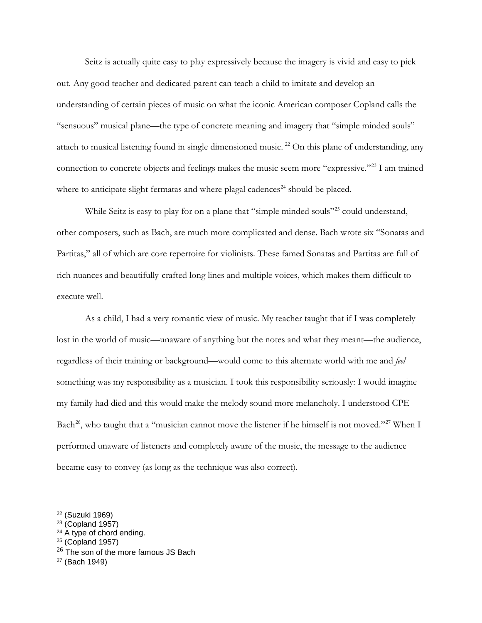Seitz is actually quite easy to play expressively because the imagery is vivid and easy to pick out. Any good teacher and dedicated parent can teach a child to imitate and develop an understanding of certain pieces of music on what the iconic American composer Copland calls the "sensuous" musical plane—the type of concrete meaning and imagery that "simple minded souls" attach to musical listening found in single dimensioned music.<sup>[22](#page-7-0)</sup> On this plane of understanding, any connection to concrete objects and feelings makes the music seem more "expressive."[23](#page-7-1) I am trained where to anticipate slight fermatas and where plagal cadences<sup>[24](#page-7-2)</sup> should be placed.

While Seitz is easy to play for on a plane that "simple minded souls"<sup>[25](#page-7-3)</sup> could understand, other composers, such as Bach, are much more complicated and dense. Bach wrote six "Sonatas and Partitas," all of which are core repertoire for violinists. These famed Sonatas and Partitas are full of rich nuances and beautifully-crafted long lines and multiple voices, which makes them difficult to execute well.

As a child, I had a very romantic view of music. My teacher taught that if I was completely lost in the world of music—unaware of anything but the notes and what they meant—the audience, regardless of their training or background—would come to this alternate world with me and *feel* something was my responsibility as a musician. I took this responsibility seriously: I would imagine my family had died and this would make the melody sound more melancholy. I understood CPE Bach<sup>[26](#page-7-4)</sup>, who taught that a "musician cannot move the listener if he himself is not moved."<sup>[27](#page-7-5)</sup> When I performed unaware of listeners and completely aware of the music, the message to the audience became easy to convey (as long as the technique was also correct).

 $\overline{a}$ 

<span id="page-7-2"></span><sup>24</sup> A type of chord ending.

<span id="page-7-0"></span><sup>22</sup> (Suzuki 1969)

<span id="page-7-1"></span><sup>23</sup> (Copland 1957)

<span id="page-7-3"></span> $25$  (Copland 1957)

<span id="page-7-4"></span> $26$  The son of the more famous JS Bach

<span id="page-7-5"></span><sup>27</sup> (Bach 1949)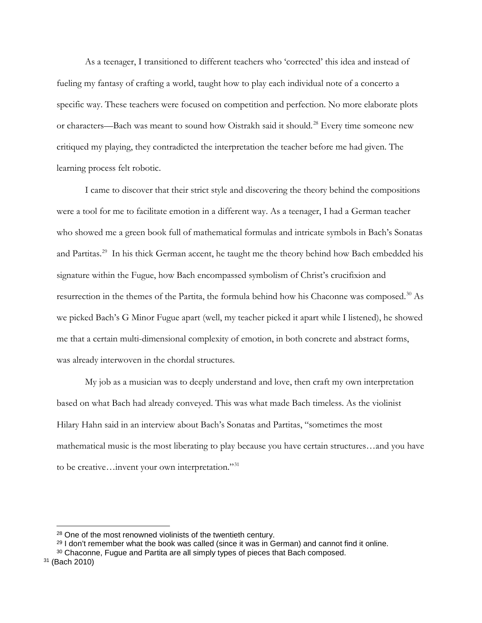As a teenager, I transitioned to different teachers who 'corrected' this idea and instead of fueling my fantasy of crafting a world, taught how to play each individual note of a concerto a specific way. These teachers were focused on competition and perfection. No more elaborate plots or characters—Bach was meant to sound how Oistrakh said it should.<sup>[28](#page-8-0)</sup> Every time someone new critiqued my playing, they contradicted the interpretation the teacher before me had given. The learning process felt robotic.

I came to discover that their strict style and discovering the theory behind the compositions were a tool for me to facilitate emotion in a different way. As a teenager, I had a German teacher who showed me a green book full of mathematical formulas and intricate symbols in Bach's Sonatas and Partitas.<sup>[29](#page-8-1)</sup> In his thick German accent, he taught me the theory behind how Bach embedded his signature within the Fugue, how Bach encompassed symbolism of Christ's crucifixion and resurrection in the themes of the Partita, the formula behind how his Chaconne was composed.[30](#page-8-2) As we picked Bach's G Minor Fugue apart (well, my teacher picked it apart while I listened), he showed me that a certain multi-dimensional complexity of emotion, in both concrete and abstract forms, was already interwoven in the chordal structures.

My job as a musician was to deeply understand and love, then craft my own interpretation based on what Bach had already conveyed. This was what made Bach timeless. As the violinist Hilary Hahn said in an interview about Bach's Sonatas and Partitas, "sometimes the most mathematical music is the most liberating to play because you have certain structures…and you have to be creative…invent your own interpretation."[31](#page-8-3)

<sup>28</sup> One of the most renowned violinists of the twentieth century.

<sup>&</sup>lt;sup>29</sup> I don't remember what the book was called (since it was in German) and cannot find it online.

<sup>&</sup>lt;sup>30</sup> Chaconne, Fugue and Partita are all simply types of pieces that Bach composed.

<span id="page-8-3"></span><span id="page-8-2"></span><span id="page-8-1"></span><span id="page-8-0"></span><sup>31</sup> (Bach 2010)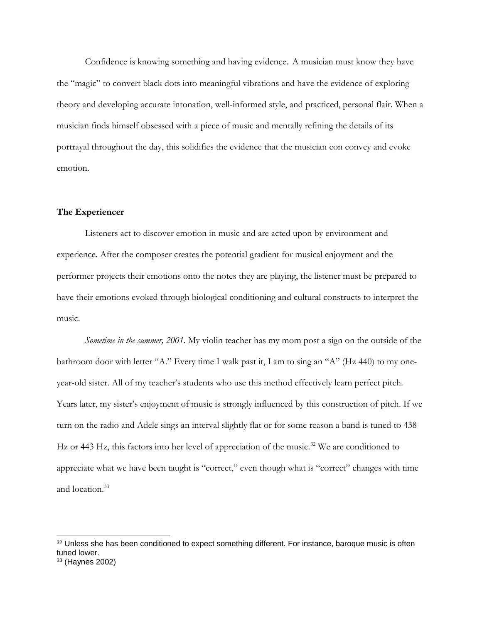Confidence is knowing something and having evidence. A musician must know they have the "magic" to convert black dots into meaningful vibrations and have the evidence of exploring theory and developing accurate intonation, well-informed style, and practiced, personal flair. When a musician finds himself obsessed with a piece of music and mentally refining the details of its portrayal throughout the day, this solidifies the evidence that the musician con convey and evoke emotion.

## **The Experiencer**

 $\overline{a}$ 

Listeners act to discover emotion in music and are acted upon by environment and experience. After the composer creates the potential gradient for musical enjoyment and the performer projects their emotions onto the notes they are playing, the listener must be prepared to have their emotions evoked through biological conditioning and cultural constructs to interpret the music.

*Sometime in the summer, 2001*. My violin teacher has my mom post a sign on the outside of the bathroom door with letter "A." Every time I walk past it, I am to sing an "A" (Hz 440) to my oneyear-old sister. All of my teacher's students who use this method effectively learn perfect pitch. Years later, my sister's enjoyment of music is strongly influenced by this construction of pitch. If we turn on the radio and Adele sings an interval slightly flat or for some reason a band is tuned to 438 Hz or 443 Hz, this factors into her level of appreciation of the music.<sup>[32](#page-9-0)</sup> We are conditioned to appreciate what we have been taught is "correct," even though what is "correct" changes with time and location.<sup>[33](#page-9-1)</sup>

<span id="page-9-1"></span><span id="page-9-0"></span><sup>&</sup>lt;sup>32</sup> Unless she has been conditioned to expect something different. For instance, baroque music is often tuned lower. <sup>33</sup> (Haynes 2002)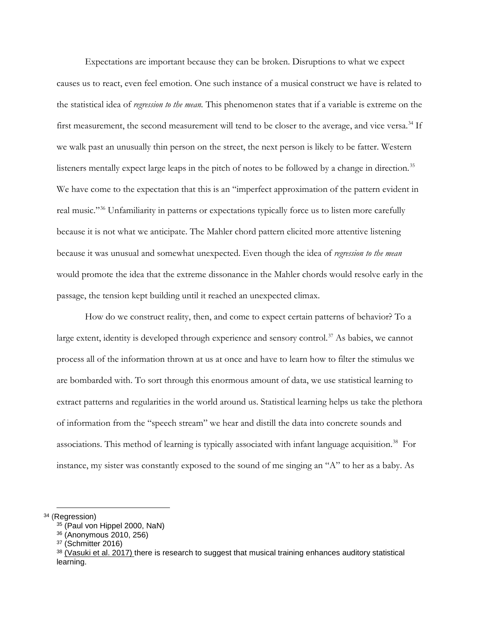Expectations are important because they can be broken. Disruptions to what we expect causes us to react, even feel emotion. One such instance of a musical construct we have is related to the statistical idea of *regression to the mean.* This phenomenon states that if a variable is extreme on the first measurement, the second measurement will tend to be closer to the average, and vice versa.<sup>[34](#page-10-0)</sup> If we walk past an unusually thin person on the street, the next person is likely to be fatter. Western listeners mentally expect large leaps in the pitch of notes to be followed by a change in direction.<sup>[35](#page-10-1)</sup> We have come to the expectation that this is an "imperfect approximation of the pattern evident in real music."[36](#page-10-2) Unfamiliarity in patterns or expectations typically force us to listen more carefully because it is not what we anticipate. The Mahler chord pattern elicited more attentive listening because it was unusual and somewhat unexpected. Even though the idea of *regression to the mean* would promote the idea that the extreme dissonance in the Mahler chords would resolve early in the passage, the tension kept building until it reached an unexpected climax.

How do we construct reality, then, and come to expect certain patterns of behavior? To a large extent, identity is developed through experience and sensory control.<sup>[37](#page-10-3)</sup> As babies, we cannot process all of the information thrown at us at once and have to learn how to filter the stimulus we are bombarded with. To sort through this enormous amount of data, we use statistical learning to extract patterns and regularities in the world around us. Statistical learning helps us take the plethora of information from the "speech stream" we hear and distill the data into concrete sounds and associations. This method of learning is typically associated with infant language acquisition.<sup>38</sup> For instance, my sister was constantly exposed to the sound of me singing an "A" to her as a baby. As

<span id="page-10-3"></span><span id="page-10-2"></span><span id="page-10-1"></span><span id="page-10-0"></span><sup>34</sup> (Regression)

<sup>35</sup> (Paul von Hippel 2000, NaN)

<sup>36</sup> (Anonymous 2010, 256)

<sup>37</sup> (Schmitter 2016)

<span id="page-10-4"></span> $38$  (Vasuki et al. 2017) there is research to suggest that musical training enhances auditory statistical learning.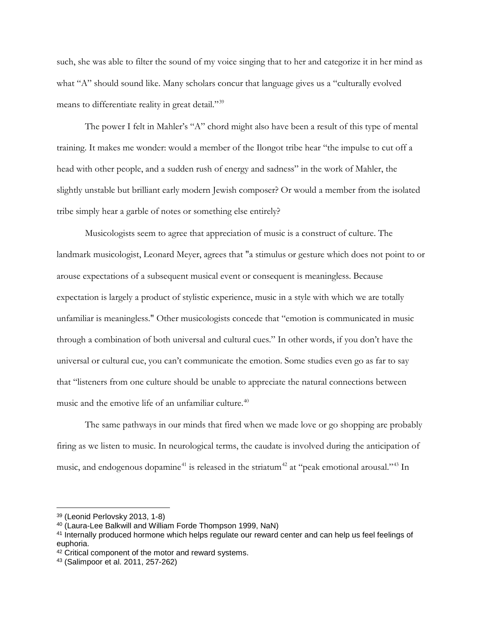such, she was able to filter the sound of my voice singing that to her and categorize it in her mind as what "A" should sound like. Many scholars concur that language gives us a "culturally evolved means to differentiate reality in great detail."<sup>[39](#page-11-0)</sup>

The power I felt in Mahler's "A" chord might also have been a result of this type of mental training. It makes me wonder: would a member of the Ilongot tribe hear "the impulse to cut off a head with other people, and a sudden rush of energy and sadness" in the work of Mahler, the slightly unstable but brilliant early modern Jewish composer? Or would a member from the isolated tribe simply hear a garble of notes or something else entirely?

Musicologists seem to agree that appreciation of music is a construct of culture. The landmark musicologist, Leonard Meyer, agrees that "a stimulus or gesture which does not point to or arouse expectations of a subsequent musical event or consequent is meaningless. Because expectation is largely a product of stylistic experience, music in a style with which we are totally unfamiliar is meaningless." Other musicologists concede that "emotion is communicated in music through a combination of both universal and cultural cues." In other words, if you don't have the universal or cultural cue, you can't communicate the emotion. Some studies even go as far to say that "listeners from one culture should be unable to appreciate the natural connections between music and the emotive life of an unfamiliar culture.<sup>[40](#page-11-1)</sup>

The same pathways in our minds that fired when we made love or go shopping are probably firing as we listen to music. In neurological terms, the caudate is involved during the anticipation of music, and endogenous dopamine<sup>[41](#page-11-2)</sup> is released in the striatum<sup>[42](#page-11-3)</sup> at "peak emotional arousal."<sup>[43](#page-11-4)</sup> In

<span id="page-11-0"></span><sup>39</sup> (Leonid Perlovsky 2013, 1-8)

<span id="page-11-1"></span><sup>40</sup> (Laura-Lee Balkwill and William Forde Thompson 1999, NaN)

<span id="page-11-2"></span><sup>41</sup> Internally produced hormone which helps regulate our reward center and can help us feel feelings of euphoria.

<span id="page-11-3"></span><sup>42</sup> Critical component of the motor and reward systems.

<span id="page-11-4"></span><sup>43</sup> (Salimpoor et al. 2011, 257-262)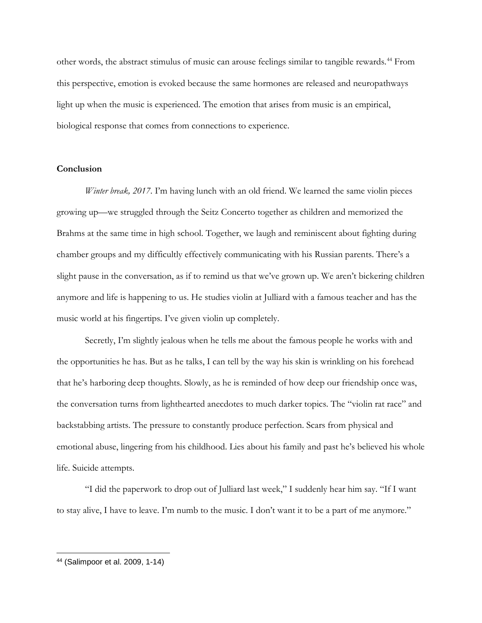other words, the abstract stimulus of music can arouse feelings similar to tangible rewards.[44](#page-12-0) From this perspective, emotion is evoked because the same hormones are released and neuropathways light up when the music is experienced. The emotion that arises from music is an empirical, biological response that comes from connections to experience.

### **Conclusion**

*Winter break, 2017*. I'm having lunch with an old friend. We learned the same violin pieces growing up—we struggled through the Seitz Concerto together as children and memorized the Brahms at the same time in high school. Together, we laugh and reminiscent about fighting during chamber groups and my difficultly effectively communicating with his Russian parents. There's a slight pause in the conversation, as if to remind us that we've grown up. We aren't bickering children anymore and life is happening to us. He studies violin at Julliard with a famous teacher and has the music world at his fingertips. I've given violin up completely.

Secretly, I'm slightly jealous when he tells me about the famous people he works with and the opportunities he has. But as he talks, I can tell by the way his skin is wrinkling on his forehead that he's harboring deep thoughts. Slowly, as he is reminded of how deep our friendship once was, the conversation turns from lighthearted anecdotes to much darker topics. The "violin rat race" and backstabbing artists. The pressure to constantly produce perfection. Scars from physical and emotional abuse, lingering from his childhood. Lies about his family and past he's believed his whole life. Suicide attempts.

"I did the paperwork to drop out of Julliard last week," I suddenly hear him say. "If I want to stay alive, I have to leave. I'm numb to the music. I don't want it to be a part of me anymore."

<span id="page-12-0"></span><sup>44</sup> (Salimpoor et al. 2009, 1-14)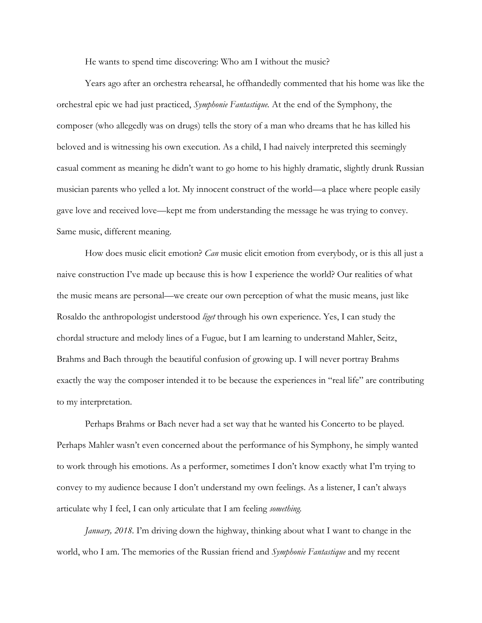He wants to spend time discovering: Who am I without the music?

Years ago after an orchestra rehearsal, he offhandedly commented that his home was like the orchestral epic we had just practiced, *Symphonie Fantastique.* At the end of the Symphony, the composer (who allegedly was on drugs) tells the story of a man who dreams that he has killed his beloved and is witnessing his own execution. As a child, I had naively interpreted this seemingly casual comment as meaning he didn't want to go home to his highly dramatic, slightly drunk Russian musician parents who yelled a lot. My innocent construct of the world—a place where people easily gave love and received love—kept me from understanding the message he was trying to convey. Same music, different meaning.

How does music elicit emotion? *Can* music elicit emotion from everybody, or is this all just a naive construction I've made up because this is how I experience the world? Our realities of what the music means are personal—we create our own perception of what the music means, just like Rosaldo the anthropologist understood *liget* through his own experience. Yes, I can study the chordal structure and melody lines of a Fugue, but I am learning to understand Mahler, Seitz, Brahms and Bach through the beautiful confusion of growing up. I will never portray Brahms exactly the way the composer intended it to be because the experiences in "real life" are contributing to my interpretation.

Perhaps Brahms or Bach never had a set way that he wanted his Concerto to be played. Perhaps Mahler wasn't even concerned about the performance of his Symphony, he simply wanted to work through his emotions. As a performer, sometimes I don't know exactly what I'm trying to convey to my audience because I don't understand my own feelings. As a listener, I can't always articulate why I feel, I can only articulate that I am feeling *something.*

*January, 2018*. I'm driving down the highway, thinking about what I want to change in the world, who I am. The memories of the Russian friend and *Symphonie Fantastique* and my recent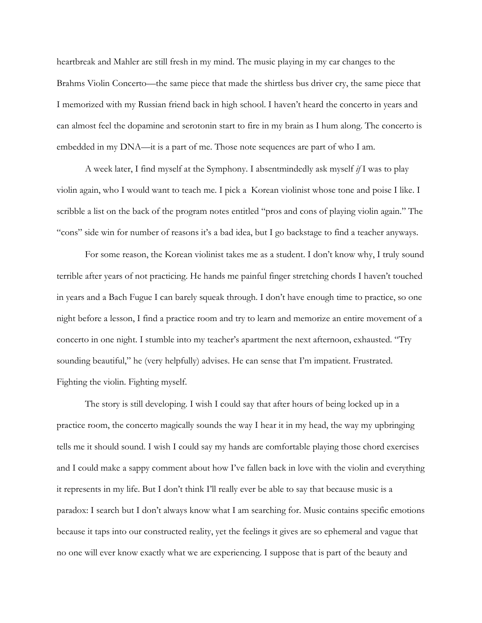heartbreak and Mahler are still fresh in my mind. The music playing in my car changes to the Brahms Violin Concerto—the same piece that made the shirtless bus driver cry, the same piece that I memorized with my Russian friend back in high school. I haven't heard the concerto in years and can almost feel the dopamine and serotonin start to fire in my brain as I hum along. The concerto is embedded in my DNA—it is a part of me. Those note sequences are part of who I am.

A week later, I find myself at the Symphony. I absentmindedly ask myself *if* I was to play violin again, who I would want to teach me. I pick a Korean violinist whose tone and poise I like. I scribble a list on the back of the program notes entitled "pros and cons of playing violin again." The "cons" side win for number of reasons it's a bad idea, but I go backstage to find a teacher anyways.

For some reason, the Korean violinist takes me as a student. I don't know why, I truly sound terrible after years of not practicing. He hands me painful finger stretching chords I haven't touched in years and a Bach Fugue I can barely squeak through. I don't have enough time to practice, so one night before a lesson, I find a practice room and try to learn and memorize an entire movement of a concerto in one night. I stumble into my teacher's apartment the next afternoon, exhausted. "Try sounding beautiful," he (very helpfully) advises. He can sense that I'm impatient. Frustrated. Fighting the violin. Fighting myself.

The story is still developing. I wish I could say that after hours of being locked up in a practice room, the concerto magically sounds the way I hear it in my head, the way my upbringing tells me it should sound. I wish I could say my hands are comfortable playing those chord exercises and I could make a sappy comment about how I've fallen back in love with the violin and everything it represents in my life. But I don't think I'll really ever be able to say that because music is a paradox: I search but I don't always know what I am searching for. Music contains specific emotions because it taps into our constructed reality, yet the feelings it gives are so ephemeral and vague that no one will ever know exactly what we are experiencing. I suppose that is part of the beauty and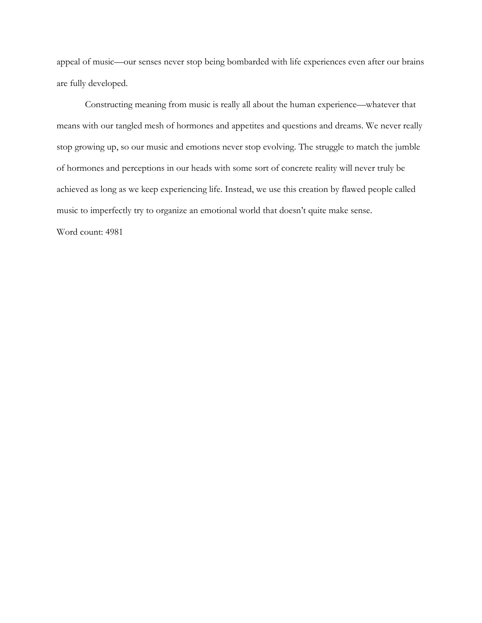appeal of music—our senses never stop being bombarded with life experiences even after our brains are fully developed.

Constructing meaning from music is really all about the human experience—whatever that means with our tangled mesh of hormones and appetites and questions and dreams. We never really stop growing up, so our music and emotions never stop evolving. The struggle to match the jumble of hormones and perceptions in our heads with some sort of concrete reality will never truly be achieved as long as we keep experiencing life. Instead, we use this creation by flawed people called music to imperfectly try to organize an emotional world that doesn't quite make sense.

Word count: 4981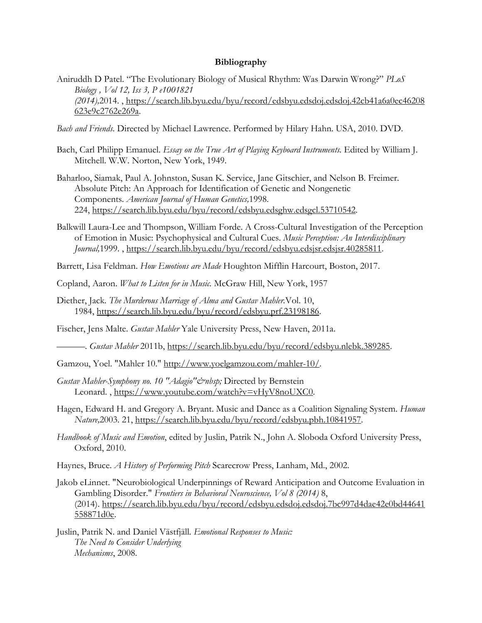#### **Bibliography**

Aniruddh D Patel. "The Evolutionary Biology of Musical Rhythm: Was Darwin Wrong?" *PLoS Biology , Vol 12, Iss 3, P e1001821 (2014),*2014. , [https://search.lib.byu.edu/byu/record/edsbyu.edsdoj.edsdoj.42cb41a6a0ec46208](https://search.lib.byu.edu/byu/record/edsbyu.edsdoj.edsdoj.42cb41a6a0ec46208623e9c2762e269a) [623e9c2762e269a.](https://search.lib.byu.edu/byu/record/edsbyu.edsdoj.edsdoj.42cb41a6a0ec46208623e9c2762e269a)

*Bach and Friends*. Directed by Michael Lawrence. Performed by Hilary Hahn. USA, 2010. DVD.

- Bach, Carl Philipp Emanuel. *Essay on the True Art of Playing Keyboard Instruments.* Edited by William J. Mitchell. W.W. Norton, New York, 1949.
- Baharloo, Siamak, Paul A. Johnston, Susan K. Service, Jane Gitschier, and Nelson B. Freimer. Absolute Pitch: An Approach for Identification of Genetic and Nongenetic Components. *American Journal of Human Genetics,*1998. 224, [https://search.lib.byu.edu/byu/record/edsbyu.edsghw.edsgcl.53710542.](https://search.lib.byu.edu/byu/record/edsbyu.edsghw.edsgcl.53710542)
- Balkwill Laura-Lee and Thompson, William Forde. A Cross-Cultural Investigation of the Perception of Emotion in Music: Psychophysical and Cultural Cues. *Music Perception: An Interdisciplinary Journal,*1999. , [https://search.lib.byu.edu/byu/record/edsbyu.edsjsr.edsjsr.40285811.](https://search.lib.byu.edu/byu/record/edsbyu.edsjsr.edsjsr.40285811)
- Barrett, Lisa Feldman. *How Emotions are Made* Houghton Mifflin Harcourt, Boston, 2017.
- Copland, Aaron. *What to Listen for in Music.* McGraw Hill, New York, 1957
- Diether, Jack*. The Murderous Marriage of Alma and Gustav Mahler.*Vol. 10, 1984, [https://search.lib.byu.edu/byu/record/edsbyu.prf.23198186.](https://search.lib.byu.edu/byu/record/edsbyu.prf.23198186)

Fischer, Jens Malte. *Gustav Mahler* Yale University Press, New Haven, 2011a.

———. *Gustav Mahler* 2011b, [https://search.lib.byu.edu/byu/record/edsbyu.nlebk.389285.](https://search.lib.byu.edu/byu/record/edsbyu.nlebk.389285)

Gamzou, Yoel. "Mahler 10." [http://www.yoelgamzou.com/mahler-10/.](http://www.yoelgamzou.com/mahler-10/)

- *Gustav Mahler-Symphony no. 10 "Adagio" & nbsp*; Directed by Bernstein Leonard. , [https://www.youtube.com/watch?v=vHyV8noUXC0.](https://www.youtube.com/watch?v=vHyV8noUXC0)
- Hagen, Edward H. and Gregory A. Bryant. Music and Dance as a Coalition Signaling System. *Human Nature,*2003. 21, [https://search.lib.byu.edu/byu/record/edsbyu.pbh.10841957.](https://search.lib.byu.edu/byu/record/edsbyu.pbh.10841957)
- *Handbook of Music and Emotion*, edited by Juslin, Patrik N., John A. Sloboda Oxford University Press, Oxford, 2010.

Haynes, Bruce. *A History of Performing Pitch* Scarecrow Press, Lanham, Md., 2002.

- Jakob eLinnet. "Neurobiological Underpinnings of Reward Anticipation and Outcome Evaluation in Gambling Disorder." *Frontiers in Behavioral Neuroscience, Vol 8 (2014)* 8, (2014). [https://search.lib.byu.edu/byu/record/edsbyu.edsdoj.edsdoj.7bc997d4dae42e0bd44641](https://search.lib.byu.edu/byu/record/edsbyu.edsdoj.edsdoj.7bc997d4dae42e0bd44641558871d0e) [558871d0e.](https://search.lib.byu.edu/byu/record/edsbyu.edsdoj.edsdoj.7bc997d4dae42e0bd44641558871d0e)
- Juslin, Patrik N. and Daniel Västfjäll*. Emotional Responses to Music: The Need to Consider Underlying Mechanisms*, 2008.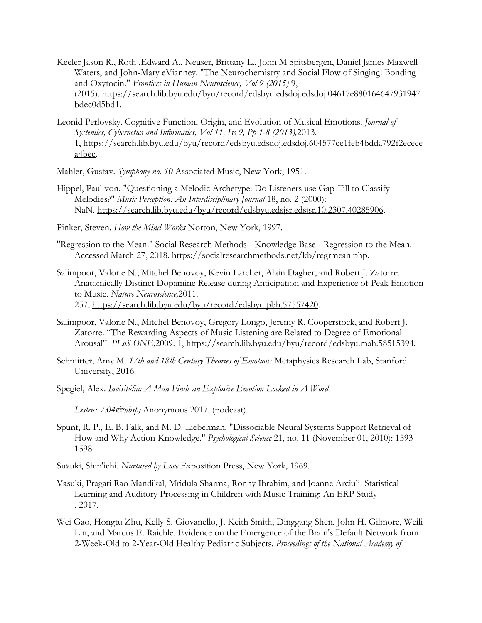- Keeler Jason R., Roth ,Edward A., Neuser, Brittany L., John M Spitsbergen, Daniel James Maxwell Waters, and John-Mary eVianney. "The Neurochemistry and Social Flow of Singing: Bonding and Oxytocin." *Frontiers in Human Neuroscience, Vol 9 (2015)* 9, (2015). [https://search.lib.byu.edu/byu/record/edsbyu.edsdoj.edsdoj.04617e880164647931947](https://search.lib.byu.edu/byu/record/edsbyu.edsdoj.edsdoj.04617e880164647931947bdec0d5bd1) [bdec0d5bd1.](https://search.lib.byu.edu/byu/record/edsbyu.edsdoj.edsdoj.04617e880164647931947bdec0d5bd1)
- Leonid Perlovsky. Cognitive Function, Origin, and Evolution of Musical Emotions. *Journal of Systemics, Cybernetics and Informatics, Vol 11, Iss 9, Pp 1-8 (2013),*2013. 1, [https://search.lib.byu.edu/byu/record/edsbyu.edsdoj.edsdoj.604577ce1feb4bdda792f2ecece](https://search.lib.byu.edu/byu/record/edsbyu.edsdoj.edsdoj.604577ce1feb4bdda792f2ececea4bec) [a4bec.](https://search.lib.byu.edu/byu/record/edsbyu.edsdoj.edsdoj.604577ce1feb4bdda792f2ececea4bec)
- Mahler, Gustav. *Symphony no. 10* Associated Music, New York, 1951.
- Hippel, Paul von. "Questioning a Melodic Archetype: Do Listeners use Gap-Fill to Classify Melodies?" *Music Perception: An Interdisciplinary Journal* 18, no. 2 (2000): NaN. [https://search.lib.byu.edu/byu/record/edsbyu.edsjsr.edsjsr.10.2307.40285906.](https://search.lib.byu.edu/byu/record/edsbyu.edsjsr.edsjsr.10.2307.40285906)
- Pinker, Steven. *How the Mind Works* Norton, New York, 1997.
- "Regression to the Mean." Social Research Methods Knowledge Base Regression to the Mean. Accessed March 27, 2018. https://socialresearchmethods.net/kb/regrmean.php.
- Salimpoor, Valorie N., Mitchel Benovoy, Kevin Larcher, Alain Dagher, and Robert J. Zatorre. Anatomically Distinct Dopamine Release during Anticipation and Experience of Peak Emotion to Music. *Nature Neuroscience,*2011. 257, [https://search.lib.byu.edu/byu/record/edsbyu.pbh.57557420.](https://search.lib.byu.edu/byu/record/edsbyu.pbh.57557420)
- Salimpoor, Valorie N., Mitchel Benovoy, Gregory Longo, Jeremy R. Cooperstock, and Robert J. Zatorre. "The Rewarding Aspects of Music Listening are Related to Degree of Emotional Arousal". *PLoS ONE,*2009. 1, [https://search.lib.byu.edu/byu/record/edsbyu.mah.58515394.](https://search.lib.byu.edu/byu/record/edsbyu.mah.58515394)
- Schmitter, Amy M. *17th and 18th Century Theories of Emotions* Metaphysics Research Lab, Stanford University, 2016.
- Spegiel, Alex. *Invisibilia: A Man Finds an Explosive Emotion Locked in A Word*

*Listen· 7:04 & mbsp*; Anonymous 2017. (podcast).

- Spunt, R. P., E. B. Falk, and M. D. Lieberman. "Dissociable Neural Systems Support Retrieval of How and Why Action Knowledge." *Psychological Science* 21, no. 11 (November 01, 2010): 1593- 1598.
- Suzuki, Shin'ichi. *Nurtured by Love* Exposition Press, New York, 1969.
- Vasuki, Pragati Rao Mandikal, Mridula Sharma, Ronny Ibrahim, and Joanne Arciuli. Statistical Learning and Auditory Processing in Children with Music Training: An ERP Study . 2017.
- Wei Gao, Hongtu Zhu, Kelly S. Giovanello, J. Keith Smith, Dinggang Shen, John H. Gilmore, Weili Lin, and Marcus E. Raichle. Evidence on the Emergence of the Brain's Default Network from 2-Week-Old to 2-Year-Old Healthy Pediatric Subjects. *Proceedings of the National Academy of*